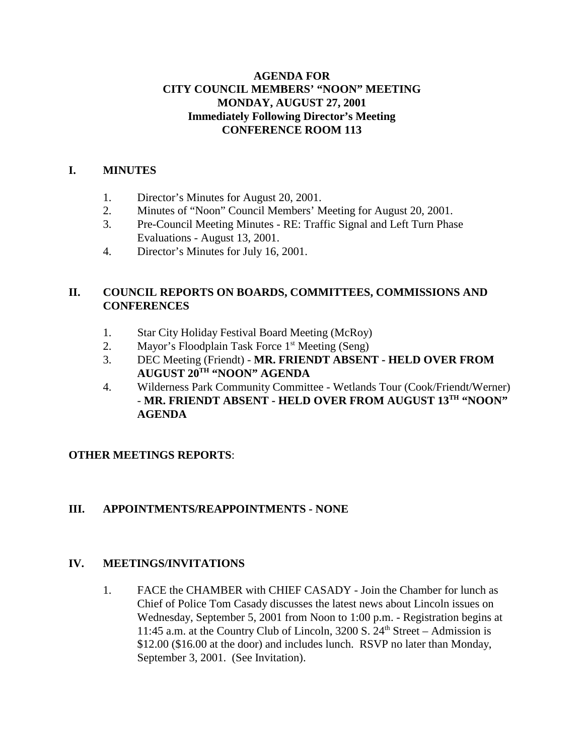#### **AGENDA FOR CITY COUNCIL MEMBERS' "NOON" MEETING MONDAY, AUGUST 27, 2001 Immediately Following Director's Meeting CONFERENCE ROOM 113**

#### **I. MINUTES**

- 1. Director's Minutes for August 20, 2001.
- 2. Minutes of "Noon" Council Members' Meeting for August 20, 2001.
- 3. Pre-Council Meeting Minutes RE: Traffic Signal and Left Turn Phase Evaluations - August 13, 2001.
- 4. Director's Minutes for July 16, 2001.

## **II. COUNCIL REPORTS ON BOARDS, COMMITTEES, COMMISSIONS AND CONFERENCES**

- 1. Star City Holiday Festival Board Meeting (McRoy)
- 2. Mayor's Floodplain Task Force 1<sup>st</sup> Meeting (Seng)
- 3. DEC Meeting (Friendt) **MR. FRIENDT ABSENT HELD OVER FROM AUGUST 20TH "NOON" AGENDA**
- 4. Wilderness Park Community Committee Wetlands Tour (Cook/Friendt/Werner) - **MR. FRIENDT ABSENT - HELD OVER FROM AUGUST 13TH "NOON" AGENDA**

## **OTHER MEETINGS REPORTS**:

## **III. APPOINTMENTS/REAPPOINTMENTS - NONE**

#### **IV. MEETINGS/INVITATIONS**

1. FACE the CHAMBER with CHIEF CASADY - Join the Chamber for lunch as Chief of Police Tom Casady discusses the latest news about Lincoln issues on Wednesday, September 5, 2001 from Noon to 1:00 p.m. - Registration begins at 11:45 a.m. at the Country Club of Lincoln,  $3200 S. 24<sup>th</sup> Street - Admission is$ \$12.00 (\$16.00 at the door) and includes lunch. RSVP no later than Monday, September 3, 2001. (See Invitation).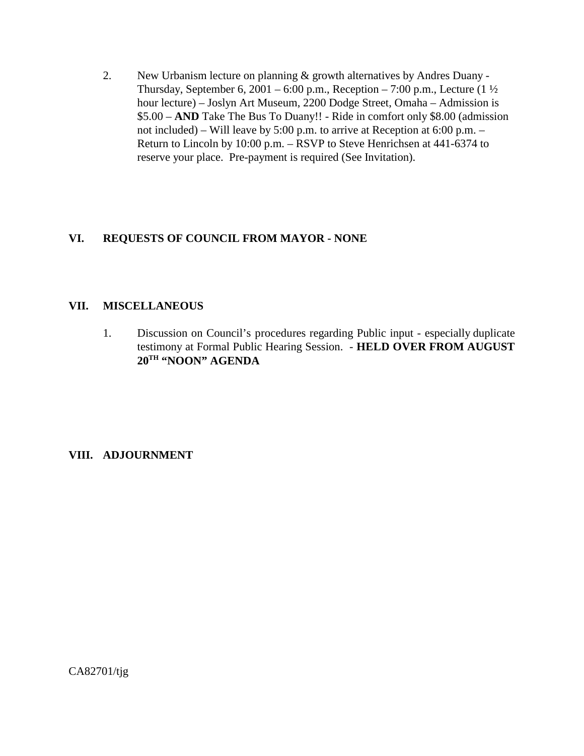2. New Urbanism lecture on planning & growth alternatives by Andres Duany - Thursday, September 6, 2001 – 6:00 p.m., Reception – 7:00 p.m., Lecture  $(1\frac{1}{2})$ hour lecture) – Joslyn Art Museum, 2200 Dodge Street, Omaha – Admission is \$5.00 – **AND** Take The Bus To Duany!! - Ride in comfort only \$8.00 (admission not included) – Will leave by 5:00 p.m. to arrive at Reception at 6:00 p.m. – Return to Lincoln by 10:00 p.m. – RSVP to Steve Henrichsen at 441-6374 to reserve your place. Pre-payment is required (See Invitation).

## **VI. REQUESTS OF COUNCIL FROM MAYOR - NONE**

#### **VII. MISCELLANEOUS**

1. Discussion on Council's procedures regarding Public input - especially duplicate testimony at Formal Public Hearing Session. - **HELD OVER FROM AUGUST 20TH "NOON" AGENDA**

#### **VIII. ADJOURNMENT**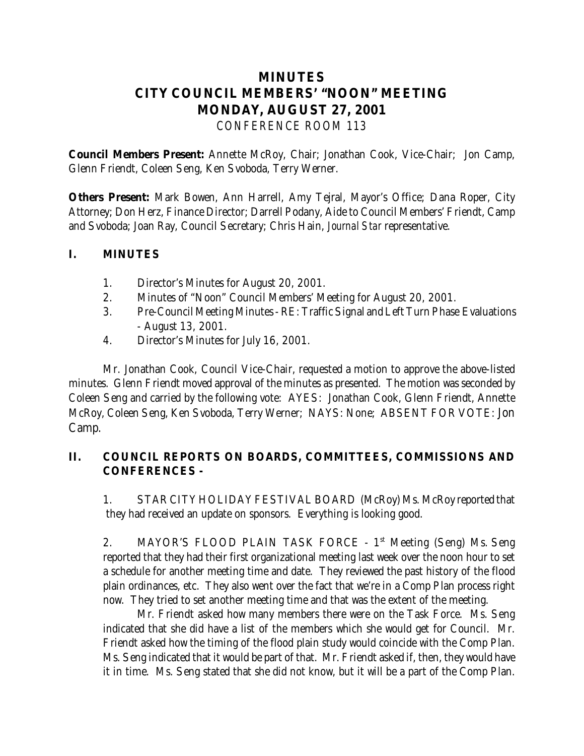# **MINUTES CITY COUNCIL MEMBERS' "NOON" MEETING MONDAY, AUGUST 27, 2001** *CONFERENCE ROOM 113*

**Council Members Present:** Annette McRoy, Chair; Jonathan Cook, Vice-Chair; Jon Camp, Glenn Friendt, Coleen Seng, Ken Svoboda, Terry Werner.

**Others Present:** Mark Bowen, Ann Harrell, Amy Tejral, Mayor's Office; Dana Roper, City Attorney; Don Herz, Finance Director; Darrell Podany, Aide to Council Members' Friendt, Camp and Svoboda; Joan Ray, Council Secretary; Chris Hain, *Journal Star* representative.

### **I. MINUTES**

- 1. Director's Minutes for August 20, 2001.
- 2. Minutes of "Noon" Council Members' Meeting for August 20, 2001.
- 3. Pre-Council Meeting Minutes RE: Traffic Signal and Left Turn Phase Evaluations - August 13, 2001.
- 4. Director's Minutes for July 16, 2001.

 Mr. Jonathan Cook, Council Vice-Chair, requested a motion to approve the above-listed minutes. Glenn Friendt moved approval of the minutes as presented. The motion was seconded by Coleen Seng and carried by the following vote: AYES: Jonathan Cook, Glenn Friendt, Annette McRoy, Coleen Seng, Ken Svoboda, Terry Werner; NAYS: None; ABSENT FOR VOTE: Jon Camp.

## **II. COUNCIL REPORTS ON BOARDS, COMMITTEES, COMMISSIONS AND CONFERENCES -**

1. STAR CITY HOLIDAY FESTIVAL BOARD (McRoy) Ms. McRoy reported that they had received an update on sponsors. Everything is looking good.

2. MAYOR'S FLOOD PLAIN TASK FORCE - 1<sup>st</sup> Meeting (Seng) Ms. Seng reported that they had their first organizational meeting last week over the noon hour to set a schedule for another meeting time and date. They reviewed the past history of the flood plain ordinances, etc. They also went over the fact that we're in a Comp Plan process right now. They tried to set another meeting time and that was the extent of the meeting.

Mr. Friendt asked how many members there were on the Task Force. Ms. Seng indicated that she did have a list of the members which she would get for Council. Mr. Friendt asked how the timing of the flood plain study would coincide with the Comp Plan. Ms. Seng indicated that it would be part of that. Mr. Friendt asked if, then, they would have it in time. Ms. Seng stated that she did not know, but it will be a part of the Comp Plan.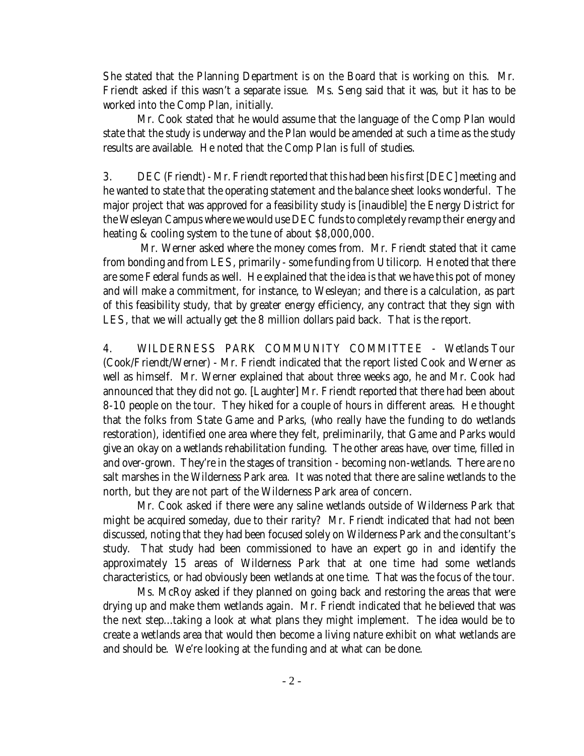She stated that the Planning Department is on the Board that is working on this. Mr. Friendt asked if this wasn't a separate issue. Ms. Seng said that it was, but it has to be worked into the Comp Plan, initially.

Mr. Cook stated that he would assume that the language of the Comp Plan would state that the study is underway and the Plan would be amended at such a time as the study results are available. He noted that the Comp Plan is full of studies.

3. DEC (Friendt) - Mr. Friendt reported that this had been his first [DEC] meeting and he wanted to state that the operating statement and the balance sheet looks wonderful. The major project that was approved for a feasibility study is [inaudible] the Energy District for the Wesleyan Campus where we would use DEC funds to completely revamp their energy and heating & cooling system to the tune of about \$8,000,000.

 Mr. Werner asked where the money comes from. Mr. Friendt stated that it came from bonding and from LES, primarily - some funding from Utilicorp. He noted that there are some Federal funds as well. He explained that the idea is that we have this pot of money and will make a commitment, for instance, to Wesleyan; and there is a calculation, as part of this feasibility study, that by greater energy efficiency, any contract that they sign with LES, that we will actually get the 8 million dollars paid back. That is the report.

4. WILDERNESS PARK COMMUNITY COMMITTEE - Wetlands Tour (Cook/Friendt/Werner) - Mr. Friendt indicated that the report listed Cook and Werner as well as himself. Mr. Werner explained that about three weeks ago, he and Mr. Cook had announced that they did not go. [Laughter] Mr. Friendt reported that there had been about 8-10 people on the tour. They hiked for a couple of hours in different areas. He thought that the folks from State Game and Parks, (who really have the funding to do wetlands restoration), identified one area where they felt, preliminarily, that Game and Parks would give an okay on a wetlands rehabilitation funding. The other areas have, over time, filled in and over-grown. They're in the stages of transition - becoming non-wetlands. There are no salt marshes in the Wilderness Park area. It was noted that there are saline wetlands to the north, but they are not part of the Wilderness Park area of concern.

Mr. Cook asked if there were any saline wetlands outside of Wilderness Park that might be acquired someday, due to their rarity? Mr. Friendt indicated that had not been discussed, noting that they had been focused solely on Wilderness Park and the consultant's study. That study had been commissioned to have an expert go in and identify the approximately 15 areas of Wilderness Park that at one time had some wetlands characteristics, or had obviously been wetlands at one time. That was the focus of the tour.

Ms. McRoy asked if they planned on going back and restoring the areas that were drying up and make them wetlands again. Mr. Friendt indicated that he believed that was the next step...taking a look at what plans they might implement. The idea would be to create a wetlands area that would then become a living nature exhibit on what wetlands are and should be. We're looking at the funding and at what can be done.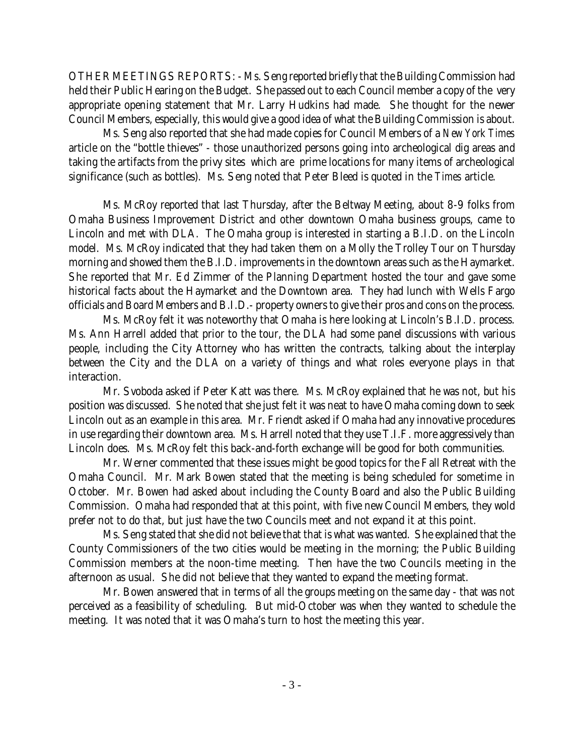OTHER MEETINGS REPORTS: - Ms. Seng reported briefly that the Building Commission had held their Public Hearing on the Budget. She passed out to each Council member a copy of the very appropriate opening statement that Mr. Larry Hudkins had made. She thought for the newer Council Members, especially, this would give a good idea of what the Building Commission is about.

Ms. Seng also reported that she had made copies for Council Members of a *New York Times* article on the "bottle thieves" - those unauthorized persons going into archeological dig areas and taking the artifacts from the privy sites which are prime locations for many items of archeological significance (such as bottles). Ms. Seng noted that Peter Bleed is quoted in the *Times* article.

Ms. McRoy reported that last Thursday, after the Beltway Meeting, about 8-9 folks from Omaha Business Improvement District and other downtown Omaha business groups, came to Lincoln and met with DLA. The Omaha group is interested in starting a B.I.D. on the Lincoln model. Ms. McRoy indicated that they had taken them on a Molly the Trolley Tour on Thursday morning and showed them the B.I.D. improvements in the downtown areas such as the Haymarket. She reported that Mr. Ed Zimmer of the Planning Department hosted the tour and gave some historical facts about the Haymarket and the Downtown area. They had lunch with Wells Fargo officials and Board Members and B.I.D.- property owners to give their pros and cons on the process.

Ms. McRoy felt it was noteworthy that Omaha is here looking at Lincoln's B.I.D. process. Ms. Ann Harrell added that prior to the tour, the DLA had some panel discussions with various people, including the City Attorney who has written the contracts, talking about the interplay between the City and the DLA on a variety of things and what roles everyone plays in that interaction.

Mr. Svoboda asked if Peter Katt was there. Ms. McRoy explained that he was not, but his position was discussed. She noted that she just felt it was neat to have Omaha coming down to seek Lincoln out as an example in this area. Mr. Friendt asked if Omaha had any innovative procedures in use regarding their downtown area. Ms. Harrell noted that they use T.I.F. more aggressively than Lincoln does. Ms. McRoy felt this back-and-forth exchange will be good for both communities.

Mr. Werner commented that these issues might be good topics for the Fall Retreat with the Omaha Council. Mr. Mark Bowen stated that the meeting is being scheduled for sometime in October. Mr. Bowen had asked about including the County Board and also the Public Building Commission. Omaha had responded that at this point, with five new Council Members, they wold prefer not to do that, but just have the two Councils meet and not expand it at this point.

Ms. Seng stated that she did not believe that that is what was wanted. She explained that the County Commissioners of the two cities would be meeting in the morning; the Public Building Commission members at the noon-time meeting. Then have the two Councils meeting in the afternoon as usual. She did not believe that they wanted to expand the meeting format.

Mr. Bowen answered that in terms of all the groups meeting on the same day - that was not perceived as a feasibility of scheduling. But mid-October was when they wanted to schedule the meeting. It was noted that it was Omaha's turn to host the meeting this year.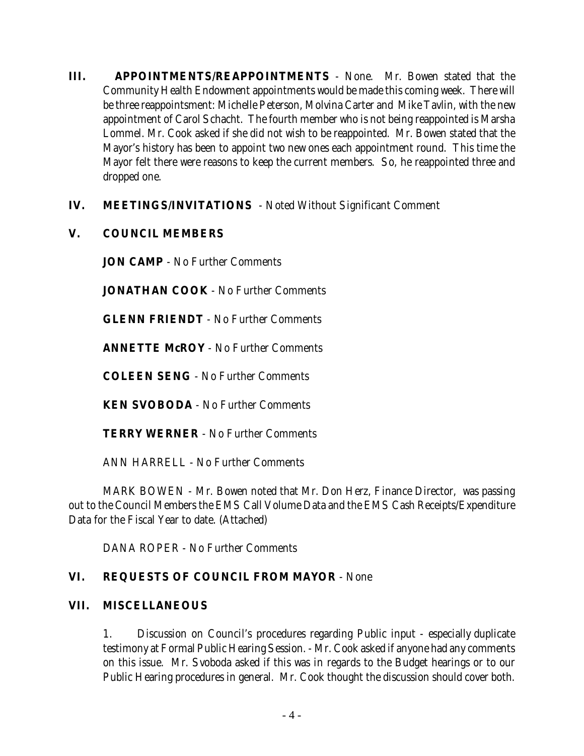- **III. APPOINTMENTS/REAPPOINTMENTS** None. Mr. Bowen stated that the Community Health Endowment appointments would be made this coming week. There will be three reappointsment: Michelle Peterson, Molvina Carter and Mike Tavlin, with the new appointment of Carol Schacht. The fourth member who is not being reappointed is Marsha Lommel. Mr. Cook asked if she did not wish to be reappointed. Mr. Bowen stated that the Mayor's history has been to appoint two new ones each appointment round. This time the Mayor felt there were reasons to keep the current members. So, he reappointed three and dropped one.
- **IV. MEETINGS/INVITATIONS**  Noted Without Significant Comment
- **V. COUNCIL MEMBERS**

**JON CAMP** - No Further Comments

**JONATHAN COOK** - No Further Comments

**GLENN FRIENDT** - No Further Comments

**ANNETTE McROY** - No Further Comments

**COLEEN SENG** - No Further Comments

**KEN SVOBODA** - No Further Comments

**TERRY WERNER** - No Further Comments

ANN HARRELL - No Further Comments

MARK BOWEN - Mr. Bowen noted that Mr. Don Herz, Finance Director, was passing out to the Council Members the EMS Call Volume Data and the EMS Cash Receipts/Expenditure Data for the Fiscal Year to date. (Attached)

DANA ROPER - No Further Comments

## **VI. REQUESTS OF COUNCIL FROM MAYOR** - None

#### **VII. MISCELLANEOUS**

1. Discussion on Council's procedures regarding Public input - especially duplicate testimony at Formal Public Hearing Session. - Mr. Cook asked if anyone had any comments on this issue. Mr. Svoboda asked if this was in regards to the Budget hearings or to our Public Hearing procedures in general. Mr. Cook thought the discussion should cover both.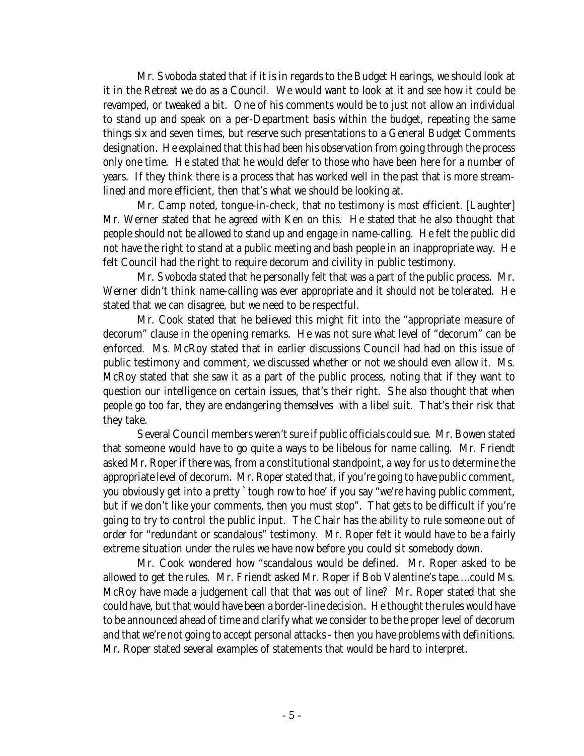Mr. Svoboda stated that if it is in regards to the Budget Hearings, we should look at it in the Retreat we do as a Council. We would want to look at it and see how it could be revamped, or tweaked a bit. One of his comments would be to just not allow an individual to stand up and speak on a per-Department basis within the budget, repeating the same things six and seven times, but reserve such presentations to a General Budget Comments designation. He explained that this had been his observation from going through the process only one time. He stated that he would defer to those who have been here for a number of years. If they think there is a process that has worked well in the past that is more streamlined and more efficient, then that's what we should be looking at.

Mr. Camp noted, tongue-in-check, that *no* testimony is *most* efficient. [Laughter] Mr. Werner stated that he agreed with Ken on this. He stated that he also thought that people should not be allowed to stand up and engage in name-calling. He felt the public did not have the right to stand at a public meeting and bash people in an inappropriate way. He felt Council had the right to require decorum and civility in public testimony.

Mr. Svoboda stated that he personally felt that was a part of the public process. Mr. Werner didn't think name-calling was ever appropriate and it should not be tolerated. He stated that we can disagree, but we need to be respectful.

Mr. Cook stated that he believed this might fit into the "appropriate measure of decorum" clause in the opening remarks. He was not sure what level of "decorum" can be enforced. Ms. McRoy stated that in earlier discussions Council had had on this issue of public testimony and comment, we discussed whether or not we should even allow it. Ms. McRoy stated that she saw it as a part of the public process, noting that if they want to question our intelligence on certain issues, that's their right. She also thought that when people go too far, they are endangering themselves with a libel suit. That's their risk that they take.

Several Council members weren't sure if public officials could sue. Mr. Bowen stated that someone would have to go quite a ways to be libelous for name calling. Mr. Friendt asked Mr. Roper if there was, from a constitutional standpoint, a way for us to determine the appropriate level of decorum. Mr. Roper stated that, if you're going to have public comment, you obviously get into a pretty `tough row to hoe' if you say "we're having public comment, but if we don't like your comments, then you must stop". That gets to be difficult if you're going to try to control the public input. The Chair has the ability to rule someone out of order for "redundant or scandalous" testimony. Mr. Roper felt it would have to be a fairly extreme situation under the rules we have now before you could sit somebody down.

Mr. Cook wondered how "scandalous would be defined. Mr. Roper asked to be allowed to get the rules. Mr. Friendt asked Mr. Roper if Bob Valentine's tape....could Ms. McRoy have made a judgement call that that was out of line? Mr. Roper stated that she could have, but that would have been a border-line decision. He thought the rules would have to be announced ahead of time and clarify what we consider to be the proper level of decorum and that we're not going to accept personal attacks - then you have problems with definitions. Mr. Roper stated several examples of statements that would be hard to interpret.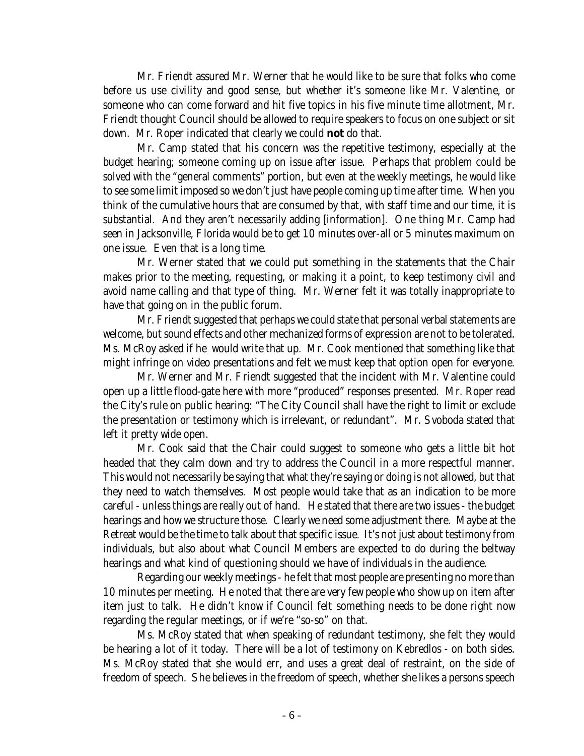Mr. Friendt assured Mr. Werner that he would like to be sure that folks who come before us use civility and good sense, but whether it's someone like Mr. Valentine, or someone who can come forward and hit five topics in his five minute time allotment, Mr. Friendt thought Council should be allowed to require speakers to focus on one subject or sit down. Mr. Roper indicated that clearly we could **not** do that.

Mr. Camp stated that his concern was the repetitive testimony, especially at the budget hearing; someone coming up on issue after issue. Perhaps that problem could be solved with the "general comments" portion, but even at the weekly meetings, he would like to see some limit imposed so we don't just have people coming up time after time. When you think of the cumulative hours that are consumed by that, with staff time and our time, it is substantial. And they aren't necessarily adding [information]. One thing Mr. Camp had seen in Jacksonville, Florida would be to get 10 minutes over-all or 5 minutes maximum on one issue. Even that is a long time.

Mr. Werner stated that we could put something in the statements that the Chair makes prior to the meeting, requesting, or making it a point, to keep testimony civil and avoid name calling and that type of thing. Mr. Werner felt it was totally inappropriate to have that going on in the public forum.

Mr. Friendt suggested that perhaps we could state that personal verbal statements are welcome, but sound effects and other mechanized forms of expression are not to be tolerated. Ms. McRoy asked if he would write that up. Mr. Cook mentioned that something like that might infringe on video presentations and felt we must keep that option open for everyone.

Mr. Werner and Mr. Friendt suggested that the incident with Mr. Valentine could open up a little flood-gate here with more "produced" responses presented. Mr. Roper read the City's rule on public hearing: "The City Council shall have the right to limit or exclude the presentation or testimony which is irrelevant, or redundant". Mr. Svoboda stated that left it pretty wide open.

Mr. Cook said that the Chair could suggest to someone who gets a little bit hot headed that they calm down and try to address the Council in a more respectful manner. This would not necessarily be saying that what they're saying or doing is not allowed, but that they need to watch themselves. Most people would take that as an indication to be more careful - unless things are really out of hand. He stated that there are two issues - the budget hearings and how we structure those. Clearly we need some adjustment there. Maybe at the Retreat would be the time to talk about that specific issue. It's not just about testimony from individuals, but also about what Council Members are expected to do during the beltway hearings and what kind of questioning should we have of individuals in the audience.

Regarding our weekly meetings - he felt that most people are presenting no more than 10 minutes per meeting. He noted that there are very few people who show up on item after item just to talk. He didn't know if Council felt something needs to be done right now regarding the regular meetings, or if we're "so-so" on that.

Ms. McRoy stated that when speaking of redundant testimony, she felt they would be hearing a lot of it today. There will be a lot of testimony on Kebredlos - on both sides. Ms. McRoy stated that she would err, and uses a great deal of restraint, on the side of freedom of speech. She believes in the freedom of speech, whether she likes a persons speech